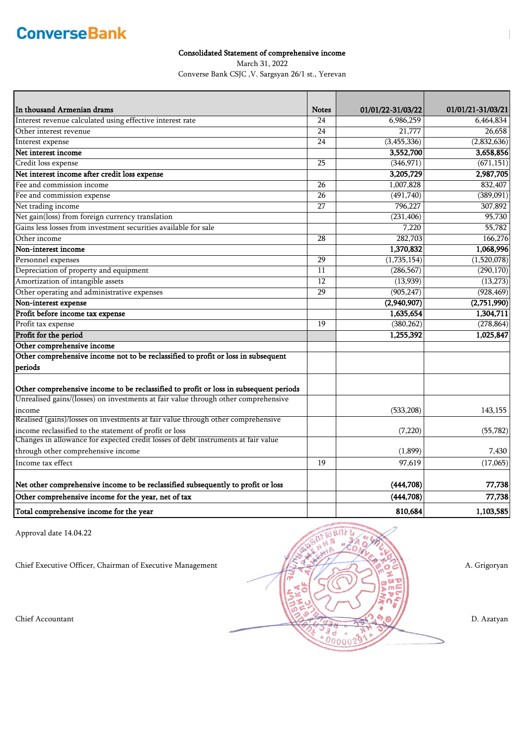### Consolidated Statement of comprehensive income

March 31, 2022

Converse Bank CSJC ,V. Sargsyan 26/1 st., Yerevan

| In thousand Armenian drams                                                            | <b>Notes</b>    | 01/01/22-31/03/22 | 01/01/21-31/03/21 |
|---------------------------------------------------------------------------------------|-----------------|-------------------|-------------------|
| Interest revenue calculated using effective interest rate                             | 24              | 6,986,259         | 6,464,834         |
| Other interest revenue                                                                | 24              | 21,777            | 26,658            |
| Interest expense                                                                      | 24              | (3,455,336)       | (2,832,636)       |
| Net interest income                                                                   |                 | 3,552,700         | 3,658,856         |
| Credit loss expense                                                                   | $\overline{25}$ | (346, 971)        | (671, 151)        |
| Net interest income after credit loss expense                                         |                 | 3,205,729         | 2,987,705         |
| Fee and commission income                                                             | 26              | 1,007,828         | 832,407           |
| Fee and commission expense                                                            | 26              | (491, 740)        | (389,091)         |
| Net trading income                                                                    | 27              | 796,227           | 307,892           |
| Net gain(loss) from foreign currency translation                                      |                 | (231, 406)        | 95,730            |
| Gains less losses from investment securities available for sale                       |                 | 7,220             | 55,782            |
| Other income                                                                          | 28              | 282,703           | 166,276           |
| Non-interest income                                                                   |                 | 1,370,832         | 1,068,996         |
| Personnel expenses                                                                    | 29              | (1,735,154)       | (1,520,078)       |
| Depreciation of property and equipment                                                | 11              | (286, 567)        | (290, 170)        |
| Amortization of intangible assets                                                     | 12              | (13,939)          | (13, 273)         |
| Other operating and administrative expenses                                           | $\overline{29}$ | (905, 247)        | (928, 469)        |
| Non-interest expense                                                                  |                 | (2,940,907)       | (2,751,990)       |
| Profit before income tax expense                                                      |                 | 1,635,654         | 1,304,711         |
| Profit tax expense                                                                    | 19              | (380, 262)        | (278, 864)        |
| Profit for the period                                                                 |                 | 1,255,392         | 1,025,847         |
| Other comprehensive income                                                            |                 |                   |                   |
| Other comprehensive income not to be reclassified to profit or loss in subsequent     |                 |                   |                   |
| periods                                                                               |                 |                   |                   |
| Other comprehensive income to be reclassified to profit or loss in subsequent periods |                 |                   |                   |
| Unrealised gains/(losses) on investments at fair value through other comprehensive    |                 |                   |                   |
| income                                                                                |                 | (533, 208)        | 143,155           |
| Realised (gains)/losses on investments at fair value through other comprehensive      |                 |                   |                   |
| income reclassified to the statement of profit or loss                                |                 | (7, 220)          | (55, 782)         |
| Changes in allowance for expected credit losses of debt instruments at fair value     |                 |                   |                   |
| through other comprehensive income                                                    |                 | (1,899)           | 7,430             |
| Income tax effect                                                                     | 19              | 97,619            | (17,065)          |
| Net other comprehensive income to be reclassified subsequently to profit or loss      |                 | (444,708)         | 77,738            |
| Other comprehensive income for the year, net of tax                                   |                 | (444, 708)        | 77,738            |
| Total comprehensive income for the year                                               |                 | 810,684           | 1,103,585         |

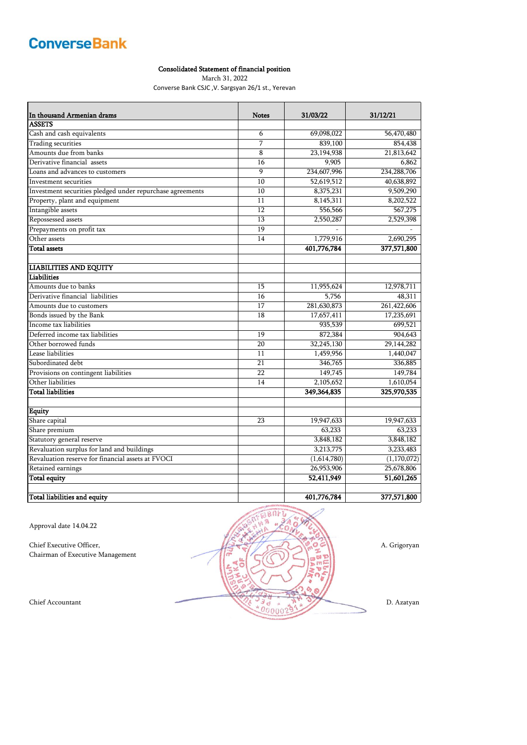### Consolidated Statement of financial position

March 31, 2022

Converse Bank CSJC ,V. Sargsyan 26/1 st., Yerevan

| In thousand Armenian drams                                | <b>Notes</b> | 31/03/22    | 31/12/21      |
|-----------------------------------------------------------|--------------|-------------|---------------|
| <b>ASSETS</b>                                             |              |             |               |
| Cash and cash equivalents                                 | 6            | 69,098,022  | 56,470,480    |
| Trading securities                                        | 7            | 839,100     | 854,438       |
| Amounts due from banks                                    | 8            | 23,194,938  | 21,813,642    |
| Derivative financial assets                               | 16           | 9,905       | 6,862         |
| Loans and advances to customers                           | 9            | 234,607,996 | 234, 288, 706 |
| Investment securities                                     | 10           | 52,619,512  | 40,638,892    |
| Investment securities pledged under repurchase agreements | 10           | 8,375,231   | 9,509,290     |
| Property, plant and equipment                             | 11           | 8,145,311   | 8,202,522     |
| Intangible assets                                         | 12           | 556,566     | 567,275       |
| Repossessed assets                                        | 13           | 2,550,287   | 2,529,398     |
| Prepayments on profit tax                                 | 19           |             |               |
| Other assets                                              | 14           | 1,779,916   | 2,690,295     |
| <b>Total assets</b>                                       |              | 401,776,784 | 377,571,800   |
| <b>LIABILITIES AND EQUITY</b>                             |              |             |               |
| Liabilities                                               |              |             |               |
| Amounts due to banks                                      | 15           | 11,955,624  | 12,978,711    |
| Derivative financial liabilities                          | 16           | 5,756       | 48,311        |
| Amounts due to customers                                  | 17           | 281,630,873 | 261,422,606   |
| Bonds issued by the Bank                                  | 18           | 17,657,411  | 17,235,691    |
| Income tax liabilities                                    |              | 935,539     | 699,521       |
| Deferred income tax liabilities                           | 19           | 872,384     | 904,643       |
| Other borrowed funds                                      | 20           | 32,245,130  | 29,144,282    |
| Lease liabilities                                         | 11           | 1,459,956   | 1,440,047     |
| Subordinated debt                                         | 21           | 346,765     | 336,885       |
| Provisions on contingent liabilities                      | 22           | 149,745     | 149,784       |
| Other liabilities                                         | 14           | 2,105,652   | 1,610,054     |
| <b>Total liabilities</b>                                  |              | 349,364,835 | 325,970,535   |
| <b>Equity</b>                                             |              |             |               |
| Share capital                                             | 23           | 19,947,633  | 19,947,633    |
| Share premium                                             |              | 63,233      | 63,233        |
| Statutory general reserve                                 |              | 3,848,182   | 3,848,182     |
| Revaluation surplus for land and buildings                |              | 3,213,775   | 3,233,483     |
| Revaluation reserve for financial assets at FVOCI         |              | (1,614,780) | (1, 170, 072) |
| Retained earnings                                         |              | 26,953,906  | 25,678,806    |
| Total equity                                              |              | 52,411,949  | 51,601,265    |
| Total liabilities and equity                              |              | 401.776.784 | 377,571,800   |

Approval date 14.04.22

Chairman of Executive Management

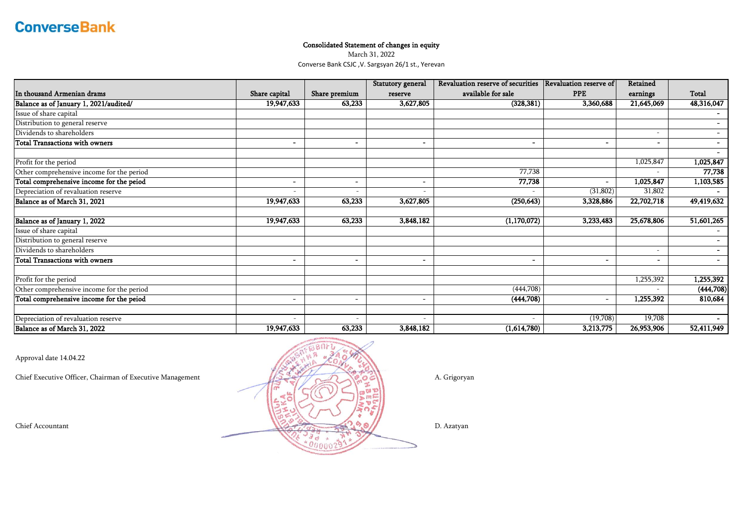### Consolidated Statement of changes in equity

March 31, 2022

Converse Bank CSJC ,V. Sargsyan 26/1 st., Yerevan

|                                           |                              |                          | Statutory general | Revaluation reserve of securities | Revaluation reserve of | Retained   |                |
|-------------------------------------------|------------------------------|--------------------------|-------------------|-----------------------------------|------------------------|------------|----------------|
| In thousand Armenian drams                | Share capital                | Share premium            | reserve           | available for sale                | <b>PPE</b>             | earnings   | Total          |
| Balance as of January 1, 2021/audited/    | 19,947,633                   | 63,233                   | 3,627,805         | (328, 381)                        | 3,360,688              | 21,645,069 | 48,316,047     |
| Issue of share capital                    |                              |                          |                   |                                   |                        |            |                |
| Distribution to general reserve           |                              |                          |                   |                                   |                        |            |                |
| Dividends to shareholders                 |                              |                          |                   |                                   |                        |            |                |
| <b>Total Transactions with owners</b>     | $\overline{\phantom{0}}$     | $\overline{\phantom{0}}$ |                   |                                   | $\blacksquare$         |            |                |
| Profit for the period                     |                              |                          |                   |                                   |                        | 1,025,847  | 1,025,847      |
| Other comprehensive income for the period |                              |                          |                   | 77,738                            |                        |            | 77,738         |
| Total comprehensive income for the peiod  | $\overline{\phantom{0}}$     | $\overline{\phantom{0}}$ |                   | 77,738                            | $\sim$                 | 1,025,847  | 1,103,585      |
| Depreciation of revaluation reserve       |                              |                          |                   |                                   | (31, 802)              | 31,802     |                |
| Balance as of March 31, 2021              | 19,947,633                   | 63,233                   | 3,627,805         | (250, 643)                        | 3,328,886              | 22,702,718 | 49,419,632     |
| Balance as of January 1, 2022             | 19,947,633                   | 63,233                   | 3,848,182         | (1,170,072)                       | 3,233,483              | 25,678,806 | 51,601,265     |
| Issue of share capital                    |                              |                          |                   |                                   |                        |            |                |
| Distribution to general reserve           |                              |                          |                   |                                   |                        |            |                |
| Dividends to shareholders                 |                              |                          |                   |                                   |                        |            | $\blacksquare$ |
| <b>Total Transactions with owners</b>     | $\qquad \qquad \blacksquare$ | $\overline{\phantom{0}}$ |                   |                                   | $\blacksquare$         |            |                |
| Profit for the period                     |                              |                          |                   |                                   |                        | 1,255,392  | 1,255,392      |
| Other comprehensive income for the period |                              |                          |                   | (444,708)                         |                        |            | (444, 708)     |
| Total comprehensive income for the peiod  | $\overline{\phantom{0}}$     | $\overline{\phantom{0}}$ |                   | (444,708)                         | $\blacksquare$         | 1,255,392  | 810,684        |
| Depreciation of revaluation reserve       | $\sim$                       |                          |                   |                                   | (19,708)               | 19,708     |                |
| Balance as of March 31, 2022              | 19,947,633                   | 63,233                   | 3,848,182         | (1,614,780)                       | 3,213,775              | 26,953,906 | 52,411,949     |

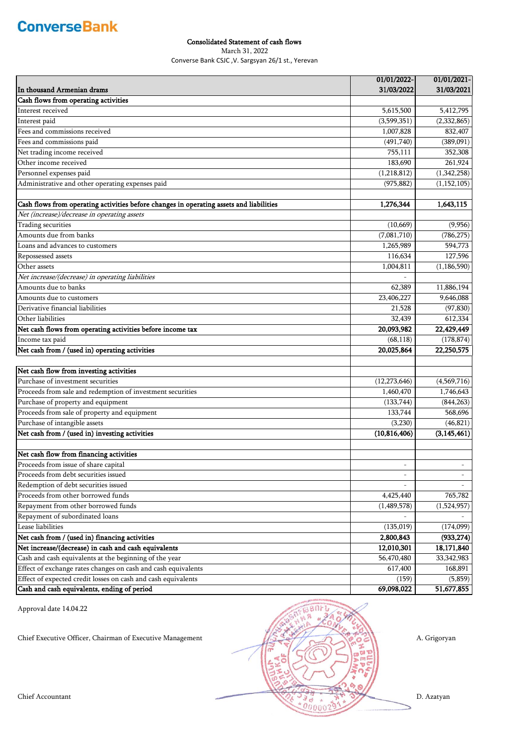#### Consolidated Statement of cash flows

March 31, 2022

Converse Bank CSJC ,V. Sargsyan 26/1 st., Yerevan

|                                                                                         | 01/01/2022-    | 01/01/2021-   |
|-----------------------------------------------------------------------------------------|----------------|---------------|
| In thousand Armenian drams                                                              | 31/03/2022     | 31/03/2021    |
| Cash flows from operating activities                                                    |                |               |
| Interest received                                                                       | 5,615,500      | 5,412,795     |
| Interest paid                                                                           | (3,599,351)    | (2,332,865)   |
| Fees and commissions received                                                           | 1,007,828      | 832,407       |
| Fees and commissions paid                                                               | (491,740)      | (389,091)     |
| Net trading income received                                                             | 755,111        | 352,308       |
| Other income received                                                                   | 183,690        | 261,924       |
| Personnel expenses paid                                                                 | (1,218,812)    | (1,342,258)   |
| Administrative and other operating expenses paid                                        | (975, 882)     | (1, 152, 105) |
|                                                                                         |                |               |
| Cash flows from operating activities before changes in operating assets and liabilities | 1,276,344      | 1,643,115     |
| Net (increase)/decrease in operating assets                                             |                |               |
| Trading securities                                                                      | (10, 669)      | (9,956)       |
| Amounts due from banks                                                                  | (7,081,710)    | (786, 275)    |
| Loans and advances to customers                                                         | 1,265,989      | 594,773       |
| Repossessed assets                                                                      | 116,634        | 127,596       |
| Other assets                                                                            | 1,004,811      | (1, 186, 590) |
| Net increase/(decrease) in operating liabilities                                        |                |               |
| Amounts due to banks                                                                    | 62,389         | 11,886,194    |
| Amounts due to customers                                                                | 23,406,227     | 9,646,088     |
| Derivative financial liabilities                                                        | 21,528         | (97, 830)     |
| Other liabilities                                                                       | 32,439         | 612,334       |
| Net cash flows from operating activities before income tax                              | 20,093,982     | 22,429,449    |
| Income tax paid                                                                         | (68, 118)      | (178, 874)    |
| Net cash from / (used in) operating activities                                          | 20,025,864     | 22,250,575    |
|                                                                                         |                |               |
| Net cash flow from investing activities                                                 |                |               |
| Purchase of investment securities                                                       | (12, 273, 646) | (4,569,716)   |
| Proceeds from sale and redemption of investment securities                              | 1,460,470      | 1,746,643     |
| Purchase of property and equipment                                                      | (133, 744)     | (844, 263)    |
| Proceeds from sale of property and equipment                                            | 133,744        | 568,696       |
| Purchase of intangible assets                                                           | (3,230)        | (46, 821)     |
| Net cash from / (used in) investing activities                                          | (10, 816, 406) | (3, 145, 461) |
|                                                                                         |                |               |
| Net cash flow from financing activities                                                 |                |               |
| Proceeds from issue of share capital                                                    | $\overline{a}$ |               |
| Proceeds from debt securities issued                                                    | $\overline{a}$ |               |
| Redemption of debt securities issued                                                    |                |               |
| Proceeds from other borrowed funds                                                      | 4,425,440      | 765,782       |
| Repayment from other borrowed funds                                                     | (1,489,578)    | (1,524,957)   |
| Repayment of subordinated loans                                                         |                |               |
| Lease liabilities                                                                       | (135, 019)     | (174,099)     |
| Net cash from / (used in) financing activities                                          | 2,800,843      | (933, 274)    |
| Net increase/(decrease) in cash and cash equivalents                                    | 12,010,301     | 18,171,840    |
| Cash and cash equivalents at the beginning of the year                                  | 56,470,480     | 33, 342, 983  |
| Effect of exchange rates changes on cash and cash equivalents                           | 617,400        | 168,891       |
| Effect of expected credit losses on cash and cash equivalents                           | (159)          | (5,859)       |
| Cash and cash equivalents, ending of period                                             | 69,098,022     | 51,677,855    |